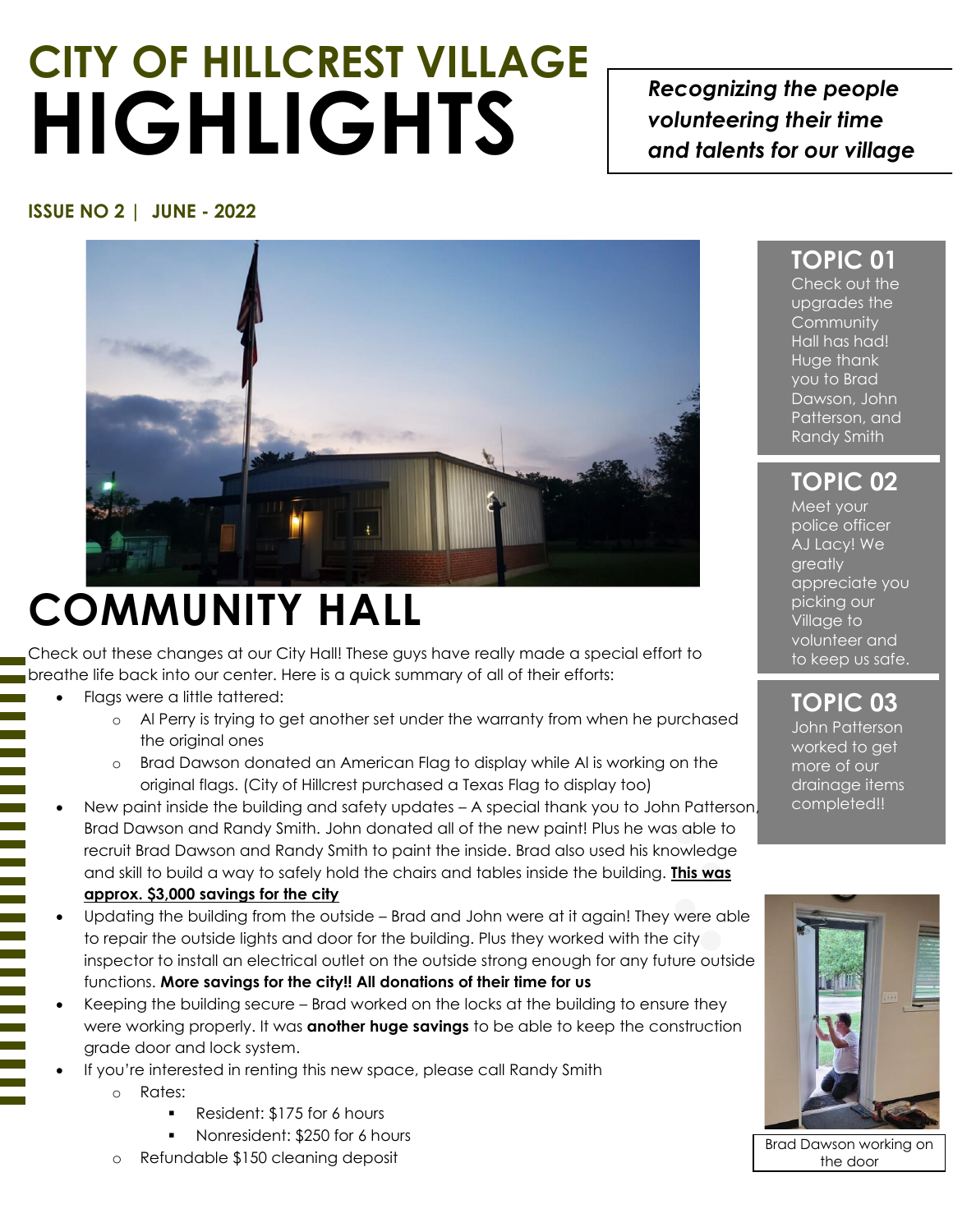# **CITY OF HILLCREST VILLAGE HIGHLIGHTS**

*Recognizing the people volunteering their time and talents for our village*

#### **ISSUE NO 2 | JUNE - 2022**



## **COMMUNITY HALL**

Check out these changes at our City Hall! These guys have really made a special effort to breathe life back into our center. Here is a quick summary of all of their efforts:

- Flags were a little tattered:
	- o Al Perry is trying to get another set under the warranty from when he purchased the original ones
	- Brad Dawson donated an American Flag to display while AI is working on the original flags. (City of Hillcrest purchased a Texas Flag to display too)
- New paint inside the building and safety updates A special thank you to John Patterson, Brad Dawson and Randy Smith. John donated all of the new paint! Plus he was able to recruit Brad Dawson and Randy Smith to paint the inside. Brad also used his knowledge and skill to build a way to safely hold the chairs and tables inside the building. **This was approx. \$3,000 savings for the city**
- Updating the building from the outside Brad and John were at it again! They were able to repair the outside lights and door for the building. Plus they worked with the city inspector to install an electrical outlet on the outside strong enough for any future outside functions. **More savings for the city!! All donations of their time for us**
- Keeping the building secure Brad worked on the locks at the building to ensure they were working properly. It was **another huge savings** to be able to keep the construction grade door and lock system.
- If you're interested in renting this new space, please call Randy Smith
	- o Rates:
		- Resident: \$175 for 6 hours
		- Nonresident: \$250 for 6 hours
	- Refundable \$150 cleaning deposit

#### **TOPIC 01**

Check out the upgrades the **Community** Hall has had! Huge thank you to Brad Dawson, John Patterson, and Randy Smith

**TOPIC 02**

Meet your police officer AJ Lacy! We greatly appreciate you picking our Village to volunteer and to keep us safe.

#### **TOPIC 03**

John Patterson worked to get more of our drainage items completed!!



Brad Dawson working on the door